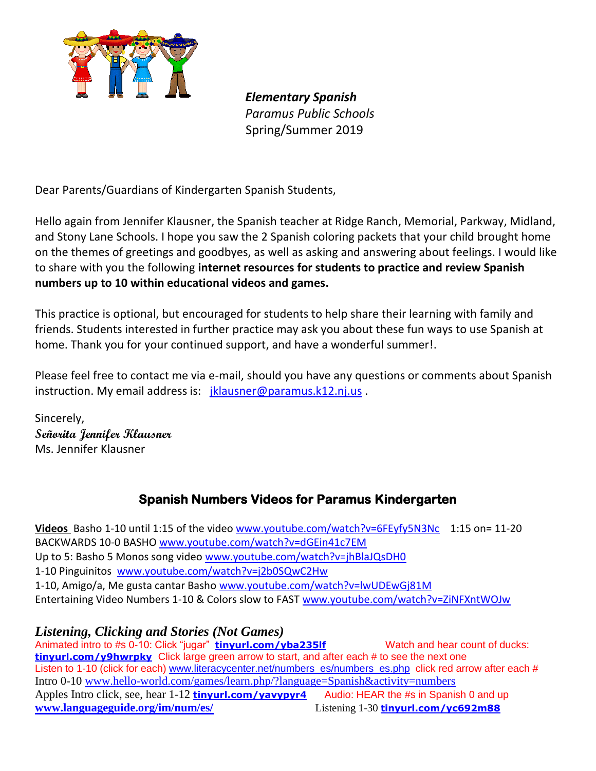

*Elementary Spanish Paramus Public Schools* Spring/Summer 2019

Dear Parents/Guardians of Kindergarten Spanish Students,

Hello again from Jennifer Klausner, the Spanish teacher at Ridge Ranch, Memorial, Parkway, Midland, and Stony Lane Schools. I hope you saw the 2 Spanish coloring packets that your child brought home on the themes of greetings and goodbyes, as well as asking and answering about feelings. I would like to share with you the following **internet resources for students to practice and review Spanish numbers up to 10 within educational videos and games.**

This practice is optional, but encouraged for students to help share their learning with family and friends. Students interested in further practice may ask you about these fun ways to use Spanish at home. Thank you for your continued support, and have a wonderful summer!.

Please feel free to contact me via e-mail, should you have any questions or comments about Spanish instruction. My email address is: [jklausner@paramus.k12.nj.us](mailto:jklausner@paramus.k12.nj.us).

Sincerely, **Señorita Jennifer Klausner**  Ms. Jennifer Klausner

## **Spanish Numbers Videos for Paramus Kindergarten**

Videos Basho 1-10 until 1:15 of the video [www.youtube.com/watch?v=6FEyfy5N3Nc](https://www.youtube.com/watch?v=6FEyfy5N3Nc) 1:15 on= 11-20 BACKWARDS 10-0 BASHO [www.youtube.com/watch?v=dGEin41c7EM](https://www.youtube.com/watch?v=dGEin41c7EM) Up to 5: Basho 5 Monos song video [www.youtube.com/watch?v=jhBlaJQsDH0](https://www.youtube.com/watch?v=jhBlaJQsDH0) 1-10 Pinguinitos [www.youtube.com/watch?v=j2b0SQwC2Hw](https://www.youtube.com/watch?v=j2b0SQwC2Hw) 1-10, Amigo/a, Me gusta cantar Basho [www.youtube.com/watch?v=lwUDEwGj81M](http://www.youtube.com/watch?v=lwUDEwGj81M) Entertaining Video Numbers 1-10 & Colors slow to FAST [www.youtube.com/watch?v=ZiNFXntWOJw](http://www.youtube.com/watch?v=ZiNFXntWOJw)

*Listening, Clicking and Stories (Not Games)* Animated intro to #s 0-10: Click "jugar" **[tinyurl.com/yba235lf](https://tinyurl.com/yba235lf)** Watch and hear count of ducks: **[tinyurl.com/y9hwrpky](https://tinyurl.com/y9hwrpky)** Click large green arrow to start, and after each # to see the next one Listen to 1-10 (click for each) [www.literacycenter.net/numbers\\_es/numbers\\_es.php](http://www.literacycenter.net/numbers_es/numbers_es.php) click red arrow after each # Intro 0-10 [www.hello-world.com/games/learn.php/?language=Spanish&activity=numbers](http://www.hello-world.com/games/learn.php/?language=Spanish&activity=numbers) Apples Intro click, see, hear 1-12 **[tinyurl.com/yavypyr4](https://tinyurl.com/yavypyr4)** Audio: HEAR the #s in Spanish 0 and up **[www.languageguide.org/im/num/es/](http://www.languageguide.org/im/num/es/)** Listening 1-30 **[tinyurl.com/yc692m88](https://tinyurl.com/yc692m88)**